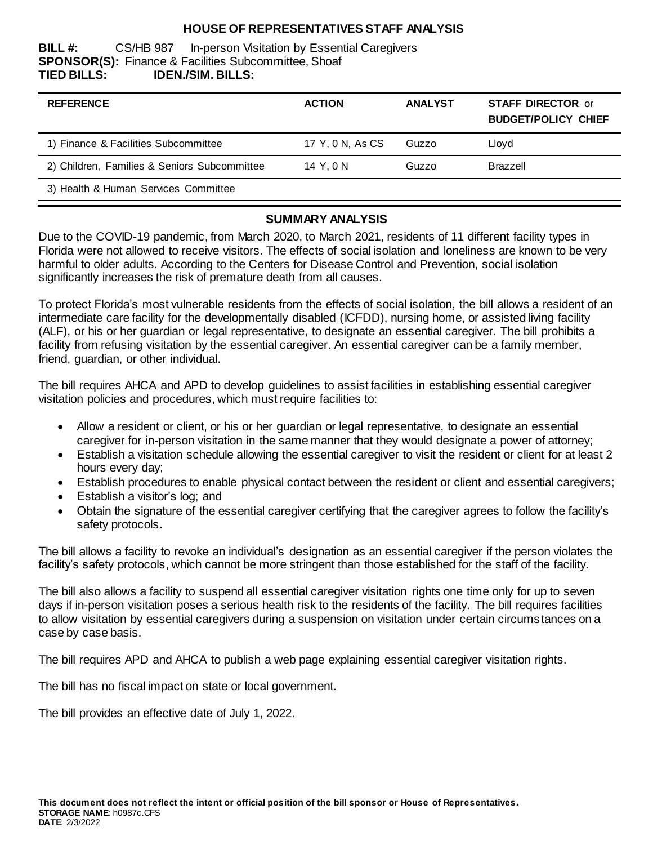## **HOUSE OF REPRESENTATIVES STAFF ANALYSIS**

**BILL #:** CS/HB 987 In-person Visitation by Essential Caregivers **SPONSOR(S):** Finance & Facilities Subcommittee, Shoaf **TIED BILLS: IDEN./SIM. BILLS:**

| <b>REFERENCE</b>                             | <b>ACTION</b>    | <b>ANALYST</b> | <b>STAFF DIRECTOR or</b><br><b>BUDGET/POLICY CHIEF</b> |
|----------------------------------------------|------------------|----------------|--------------------------------------------------------|
| 1) Finance & Facilities Subcommittee         | 17 Y, 0 N, As CS | Guzzo          | Lloyd                                                  |
| 2) Children, Families & Seniors Subcommittee | 14 Y.ON          | Guzzo          | Brazzell                                               |
| 3) Health & Human Services Committee         |                  |                |                                                        |

#### **SUMMARY ANALYSIS**

Due to the COVID-19 pandemic, from March 2020, to March 2021, residents of 11 different facility types in Florida were not allowed to receive visitors. The effects of social isolation and loneliness are known to be very harmful to older adults. According to the Centers for Disease Control and Prevention, social isolation significantly increases the risk of premature death from all causes.

To protect Florida's most vulnerable residents from the effects of social isolation, the bill allows a resident of an intermediate care facility for the developmentally disabled (ICFDD), nursing home, or assisted living facility (ALF), or his or her guardian or legal representative, to designate an essential caregiver. The bill prohibits a facility from refusing visitation by the essential caregiver. An essential caregiver can be a family member, friend, guardian, or other individual.

The bill requires AHCA and APD to develop guidelines to assist facilities in establishing essential caregiver visitation policies and procedures, which must require facilities to:

- Allow a resident or client, or his or her guardian or legal representative, to designate an essential caregiver for in-person visitation in the same manner that they would designate a power of attorney;
- Establish a visitation schedule allowing the essential caregiver to visit the resident or client for at least 2 hours every day;
- Establish procedures to enable physical contact between the resident or client and essential caregivers;
- Establish a visitor's log; and
- Obtain the signature of the essential caregiver certifying that the caregiver agrees to follow the facility's safety protocols.

The bill allows a facility to revoke an individual's designation as an essential caregiver if the person violates the facility's safety protocols, which cannot be more stringent than those established for the staff of the facility.

The bill also allows a facility to suspend all essential caregiver visitation rights one time only for up to seven days if in-person visitation poses a serious health risk to the residents of the facility. The bill requires facilities to allow visitation by essential caregivers during a suspension on visitation under certain circumstances on a case by case basis.

The bill requires APD and AHCA to publish a web page explaining essential caregiver visitation rights.

The bill has no fiscal impact on state or local government.

The bill provides an effective date of July 1, 2022.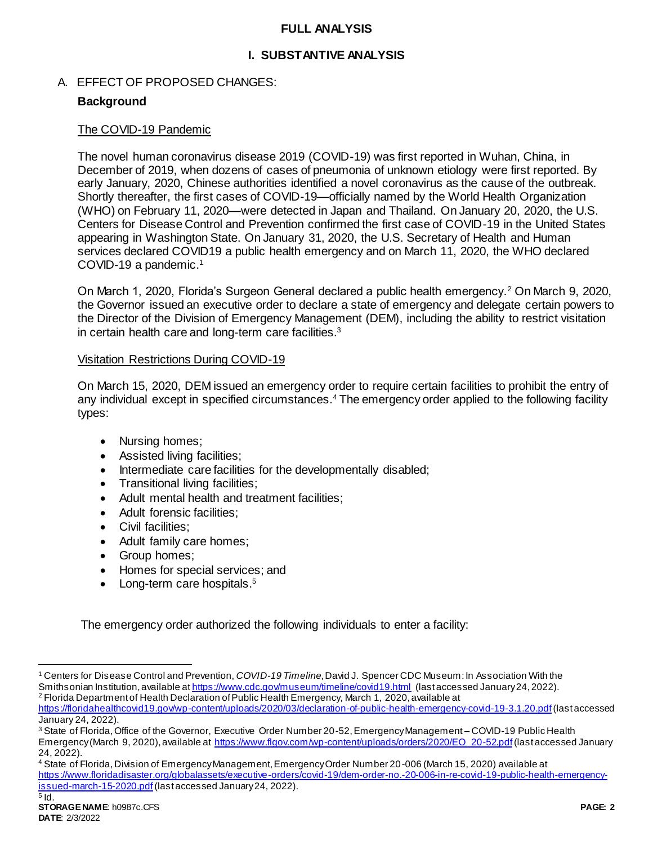## **FULL ANALYSIS**

## **I. SUBSTANTIVE ANALYSIS**

## A. EFFECT OF PROPOSED CHANGES:

## **Background**

## The COVID-19 Pandemic

The novel human coronavirus disease 2019 (COVID-19) was first reported in Wuhan, China, in December of 2019, when dozens of cases of pneumonia of unknown etiology were first reported. By early January, 2020, Chinese authorities identified a novel coronavirus as the cause of the outbreak. Shortly thereafter, the first cases of COVID-19—officially named by the World Health Organization (WHO) on February 11, 2020—were detected in Japan and Thailand. On January 20, 2020, the U.S. Centers for Disease Control and Prevention confirmed the first case of COVID-19 in the United States appearing in Washington State. On January 31, 2020, the U.S. Secretary of Health and Human services declared COVID19 a public health emergency and on March 11, 2020, the WHO declared COVID-19 a pandemic. 1

On March 1, 2020, Florida's Surgeon General declared a public health emergency.<sup>2</sup> On March 9, 2020, the Governor issued an executive order to declare a state of emergency and delegate certain powers to the Director of the Division of Emergency Management (DEM), including the ability to restrict visitation in certain health care and long-term care facilities.<sup>3</sup>

#### Visitation Restrictions During COVID-19

On March 15, 2020, DEM issued an emergency order to require certain facilities to prohibit the entry of any individual except in specified circumstances.<sup>4</sup> The emergency order applied to the following facility types:

- Nursing homes;
- Assisted living facilities;
- Intermediate care facilities for the developmentally disabled;
- Transitional living facilities;
- Adult mental health and treatment facilities;
- Adult forensic facilities;
- Civil facilities;
- Adult family care homes;
- Group homes;
- Homes for special services; and
- Long-term care hospitals.<sup>5</sup>

The emergency order authorized the following individuals to enter a facility:

l

<sup>1</sup> Centers for Disease Control and Prevention, *COVID-19 Timeline*, David J. Spencer CDC Museum: In Association With the Smithsonian Institution, available a[t https://www.cdc.gov/museum/timeline/covid19.html](https://www.cdc.gov/museum/timeline/covid19.html) (last accessed January 24, 2022). <sup>2</sup> Florida Department of Health Declaration of Public Health Emergency, March 1, 2020, available at

<https://floridahealthcovid19.gov/wp-content/uploads/2020/03/declaration-of-public-health-emergency-covid-19-3.1.20.pdf>(last accessed January 24, 2022).

<sup>&</sup>lt;sup>3</sup> State of Florida, Office of the Governor, Executive Order Number 20-52, Emergency Management – COVID-19 Public Health Emergency (March 9, 2020), available a[t https://www.flgov.com/wp-content/uploads/orders/2020/EO\\_20-52.pdf](https://www.flgov.com/wp-content/uploads/orders/2020/EO_20-52.pdf)(last accessed January 24, 2022).

<sup>4</sup> State of Florida, Division of Emergency Management, Emergency Order Number 20-006 (March 15, 2020) available at [https://www.floridadisaster.org/globalassets/executive-orders/covid-19/dem-order-no.-20-006-in-re-covid-19-public-health-emergency](https://www.floridadisaster.org/globalassets/executive-orders/covid-19/dem-order-no.-20-006-in-re-covid-19-public-health-emergency-issued-march-15-2020.pdf)[issued-march-15-2020.pdf](https://www.floridadisaster.org/globalassets/executive-orders/covid-19/dem-order-no.-20-006-in-re-covid-19-public-health-emergency-issued-march-15-2020.pdf)(last accessed January 24, 2022).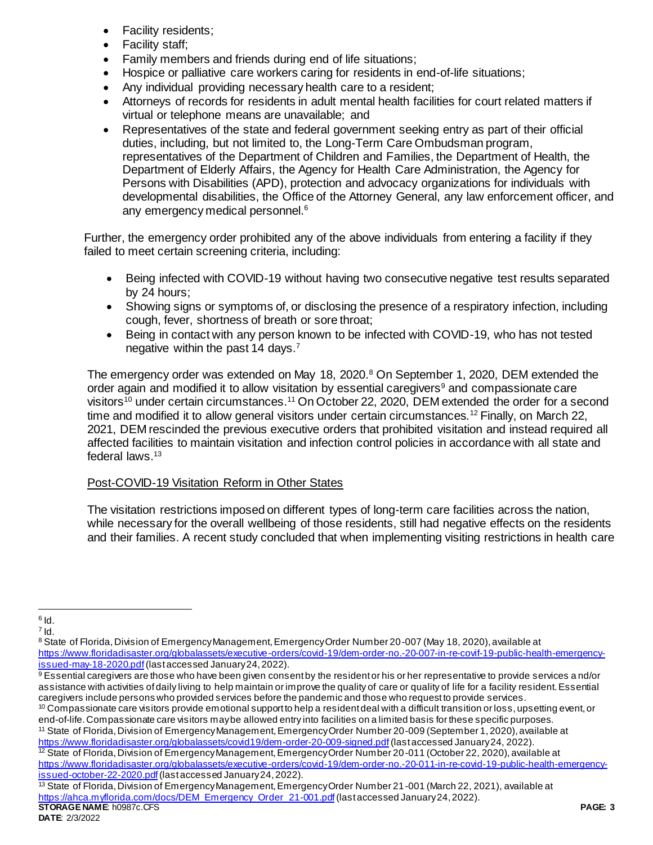- Facility residents;
- Facility staff;
- Family members and friends during end of life situations;
- Hospice or palliative care workers caring for residents in end-of-life situations;
- Any individual providing necessary health care to a resident;
- Attorneys of records for residents in adult mental health facilities for court related matters if virtual or telephone means are unavailable; and
- Representatives of the state and federal government seeking entry as part of their official duties, including, but not limited to, the Long-Term Care Ombudsman program, representatives of the Department of Children and Families, the Department of Health, the Department of Elderly Affairs, the Agency for Health Care Administration, the Agency for Persons with Disabilities (APD), protection and advocacy organizations for individuals with developmental disabilities, the Office of the Attorney General, any law enforcement officer, and any emergency medical personnel.<sup>6</sup>

Further, the emergency order prohibited any of the above individuals from entering a facility if they failed to meet certain screening criteria, including:

- Being infected with COVID-19 without having two consecutive negative test results separated by 24 hours;
- Showing signs or symptoms of, or disclosing the presence of a respiratory infection, including cough, fever, shortness of breath or sore throat;
- Being in contact with any person known to be infected with COVID-19, who has not tested negative within the past 14 days.<sup>7</sup>

The emergency order was extended on May 18, 2020.<sup>8</sup> On September 1, 2020, DEM extended the order again and modified it to allow visitation by essential caregivers<sup>9</sup> and compassionate care visitors<sup>10</sup> under certain circumstances.<sup>11</sup> On October 22, 2020, DEM extended the order for a second time and modified it to allow general visitors under certain circumstances.<sup>12</sup> Finally, on March 22, 2021, DEM rescinded the previous executive orders that prohibited visitation and instead required all affected facilities to maintain visitation and infection control policies in accordance with all state and federal laws.<sup>13</sup>

# Post-COVID-19 Visitation Reform in Other States

The visitation restrictions imposed on different types of long-term care facilities across the nation, while necessary for the overall wellbeing of those residents, still had negative effects on the residents and their families. A recent study concluded that when implementing visiting restrictions in health care

<sup>11</sup> State of Florida, Division of Emergency Management, Emergency Order Number 20-009 (September 1, 2020), available at <https://www.floridadisaster.org/globalassets/covid19/dem-order-20-009-signed.pdf>(last accessed January 24, 2022). <sup>12</sup> State of Florida, Division of Emergency Management, Emergency Order Number 20-011 (October 22, 2020), available at [https://www.floridadisaster.org/globalassets/executive-orders/covid-19/dem-order-no.-20-011-in-re-covid-19-public-health-emergency-](https://www.floridadisaster.org/globalassets/executive-orders/covid-19/dem-order-no.-20-011-in-re-covid-19-public-health-emergency-issued-october-22-2020.pdf)

[issued-october-22-2020.pdf](https://www.floridadisaster.org/globalassets/executive-orders/covid-19/dem-order-no.-20-011-in-re-covid-19-public-health-emergency-issued-october-22-2020.pdf) (last accessed January 24, 2022).

 $\overline{a}$  $^6$  Id.

 $^7$  Id.

<sup>8</sup> State of Florida, Division of Emergency Management, Emergency Order Number 20-007 (May 18, 2020), available at [https://www.floridadisaster.org/globalassets/executive-orders/covid-19/dem-order-no.-20-007-in-re-covif-19-public-health-emergency](https://www.floridadisaster.org/globalassets/executive-orders/covid-19/dem-order-no.-20-007-in-re-covif-19-public-health-emergency-issued-may-18-2020.pdf)[issued-may-18-2020.pdf](https://www.floridadisaster.org/globalassets/executive-orders/covid-19/dem-order-no.-20-007-in-re-covif-19-public-health-emergency-issued-may-18-2020.pdf)(last accessed January 24, 2022).

<sup>9</sup> Essential caregivers are those who have been given consent by the resident or his or her representative to provide services and/or assistance with activities of daily living to help maintain or improve the quality of care or quality of life for a facility resident. Essential caregivers include persons who provided services before the pandemic and those who request to provide services.

<sup>&</sup>lt;sup>10</sup> Compassionate care visitors provide emotional support to help a resident deal with a difficult transition or loss, upsetting event, or end-of-life. Compassionate care visitors maybe allowed entry into facilities on a limited basis for these specific purposes.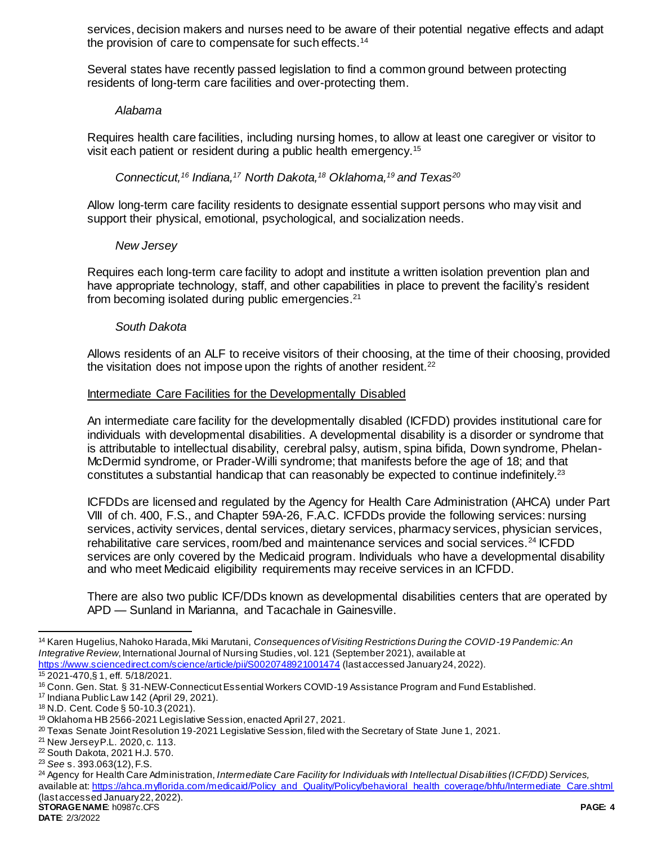services, decision makers and nurses need to be aware of their potential negative effects and adapt the provision of care to compensate for such effects.<sup>14</sup>

Several states have recently passed legislation to find a common ground between protecting residents of long-term care facilities and over-protecting them.

#### *Alabama*

Requires health care facilities, including nursing homes, to allow at least one caregiver or visitor to visit each patient or resident during a public health emergency.<sup>15</sup>

*Connecticut,<sup>16</sup> Indiana,<sup>17</sup> North Dakota,<sup>18</sup> Oklahoma,<sup>19</sup> and Texas<sup>20</sup>*

Allow long-term care facility residents to designate essential support persons who may visit and support their physical, emotional, psychological, and socialization needs.

## *New Jersey*

Requires each long-term care facility to adopt and institute a written isolation prevention plan and have appropriate technology, staff, and other capabilities in place to prevent the facility's resident from becoming isolated during public emergencies.<sup>21</sup>

## *South Dakota*

Allows residents of an ALF to receive visitors of their choosing, at the time of their choosing, provided the visitation does not impose upon the rights of another resident. $22$ 

## Intermediate Care Facilities for the Developmentally Disabled

An intermediate care facility for the developmentally disabled (ICFDD) provides institutional care for individuals with developmental disabilities. A developmental disability is a disorder or syndrome that is attributable to intellectual disability, cerebral palsy, autism, spina bifida, Down syndrome, Phelan-McDermid syndrome, or Prader-Willi syndrome; that manifests before the age of 18; and that constitutes a substantial handicap that can reasonably be expected to continue indefinitely.<sup>23</sup>

ICFDDs are licensed and regulated by the Agency for Health Care Administration (AHCA) under Part VIII of ch. 400, F.S., and Chapter 59A-26, F.A.C. ICFDDs provide the following services: nursing services, activity services, dental services, dietary services, pharmacy services, physician services, rehabilitative care services, room/bed and maintenance services and social services.<sup>24</sup> ICFDD services are only covered by the Medicaid program. Individuals who have a developmental disability and who meet Medicaid eligibility requirements may receive services in an ICFDD.

There are also two public ICF/DDs known as developmental disabilities centers that are operated by APD — Sunland in Marianna, and Tacachale in Gainesville.

 $\overline{a}$ <sup>14</sup> Karen Hugelius, Nahoko Harada, Miki Marutani, *Consequences of Visiting Restrictions During the COVID-19 Pandemic: An Integrative Review*, International Journal of Nursing Studies, vol. 121 (September 2021), available at <https://www.sciencedirect.com/science/article/pii/S0020748921001474> (last accessed January 24, 2022).

<sup>15</sup> 2021-470,§ 1, eff. 5/18/2021.

<sup>16</sup> Conn. Gen. Stat. § 31-NEW-Connecticut Essential Workers COVID-19 Assistance Program and Fund Established.

<sup>17</sup> Indiana Public Law 142 (April 29, 2021).

<sup>18</sup> N.D. Cent. Code § 50-10.3 (2021).

<sup>19</sup> Oklahoma HB 2566-2021 Legislative Session, enacted April 27, 2021.

<sup>&</sup>lt;sup>20</sup> Texas Senate Joint Resolution 19-2021 Legislative Session, filed with the Secretary of State June 1, 2021.

<sup>21</sup> New Jersey P.L. 2020, c. 113.

<sup>22</sup> South Dakota, 2021 H.J. 570.

<sup>23</sup> *See* s. 393.063(12), F.S.

<sup>24</sup> Agency for Health Care Administration, *Intermediate Care Facility for Individuals with Intellectual Disabilities (ICF/DD) Services,*  available at[: https://ahca.myflorida.com/medicaid/Policy\\_and\\_Quality/Policy/behavioral\\_health\\_coverage/bhfu/Intermediate\\_Care.shtml](https://ahca.myflorida.com/medicaid/Policy_and_Quality/Policy/behavioral_health_coverage/bhfu/Intermediate_Care.shtml) (last accessed January 22, 2022).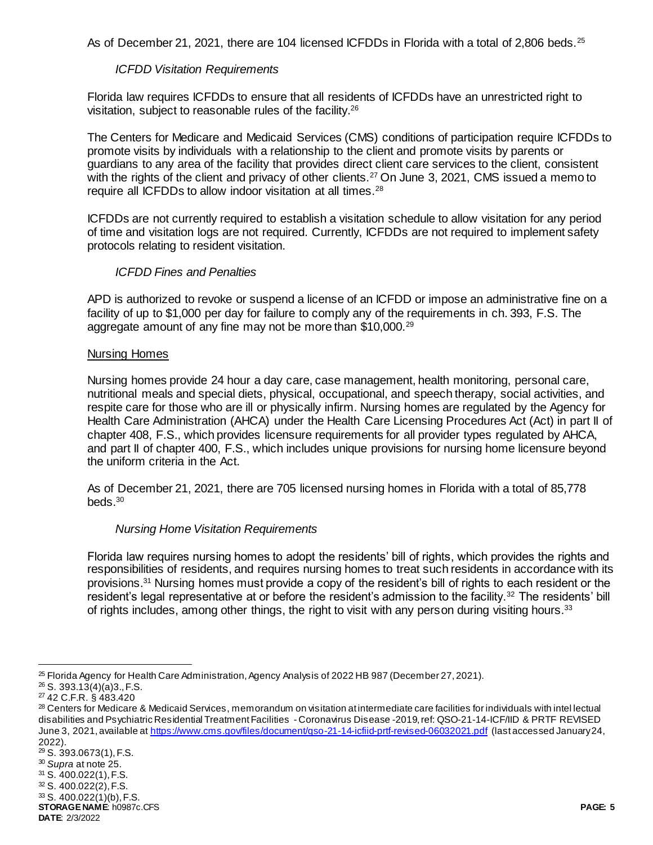As of December 21, 2021, there are 104 licensed ICFDDs in Florida with a total of 2,806 beds.<sup>25</sup>

## *ICFDD Visitation Requirements*

Florida law requires ICFDDs to ensure that all residents of ICFDDs have an unrestricted right to visitation, subject to reasonable rules of the facility.<sup>26</sup>

The Centers for Medicare and Medicaid Services (CMS) conditions of participation require ICFDDs to promote visits by individuals with a relationship to the client and promote visits by parents or guardians to any area of the facility that provides direct client care services to the client, consistent with the rights of the client and privacy of other clients.<sup>27</sup> On June 3, 2021, CMS issued a memo to require all ICFDDs to allow indoor visitation at all times.<sup>28</sup>

ICFDDs are not currently required to establish a visitation schedule to allow visitation for any period of time and visitation logs are not required. Currently, ICFDDs are not required to implement safety protocols relating to resident visitation.

## *ICFDD Fines and Penalties*

APD is authorized to revoke or suspend a license of an ICFDD or impose an administrative fine on a facility of up to \$1,000 per day for failure to comply any of the requirements in ch. 393, F.S. The aggregate amount of any fine may not be more than \$10,000.<sup>29</sup>

#### Nursing Homes

Nursing homes provide 24 hour a day care, case management, health monitoring, personal care, nutritional meals and special diets, physical, occupational, and speech therapy, social activities, and respite care for those who are ill or physically infirm. Nursing homes are regulated by the Agency for Health Care Administration (AHCA) under the Health Care Licensing Procedures Act (Act) in part II of chapter 408, F.S., which provides licensure requirements for all provider types regulated by AHCA, and part II of chapter 400, F.S., which includes unique provisions for nursing home licensure beyond the uniform criteria in the Act.

As of December 21, 2021, there are 705 licensed nursing homes in Florida with a total of 85,778 beds. $30$ 

#### *Nursing Home Visitation Requirements*

Florida law requires nursing homes to adopt the residents' bill of rights, which provides the rights and responsibilities of residents, and requires nursing homes to treat such residents in accordance with its provisions. <sup>31</sup> Nursing homes must provide a copy of the resident's bill of rights to each resident or the resident's legal representative at or before the resident's admission to the facility.<sup>32</sup> The residents' bill of rights includes, among other things, the right to visit with any person during visiting hours.<sup>33</sup>

l

**STORAGE NAME**: h0987c.CFS **PAGE: 5**  $33$  S. 400.022(1)(b), F.S.

```
DATE: 2/3/2022
```
<sup>25</sup> Florida Agency for Health Care Administration, Agency Analysis of 2022 HB 987 (December 27, 2021).

 $26$  S. 393.13(4)(a)3., F.S.

<sup>27</sup> 42 C.F.R. § 483.420

<sup>&</sup>lt;sup>28</sup> Centers for Medicare & Medicaid Services, memorandum on visitation at intermediate care facilities for individuals with intel lectual disabilities and Psychiatric Residential Treatment Facilities - Coronavirus Disease -2019, ref: QSO-21-14-ICF/IID & PRTF REVISED June 3, 2021, available at<https://www.cms.gov/files/document/qso-21-14-icfiid-prtf-revised-06032021.pdf> (last accessed January 24, 2022).

<sup>29</sup> S. 393.0673(1), F.S.

<sup>30</sup> *Supra* at note 25.

<sup>31</sup> S. 400.022(1), F.S.

<sup>32</sup> S. 400.022(2), F.S.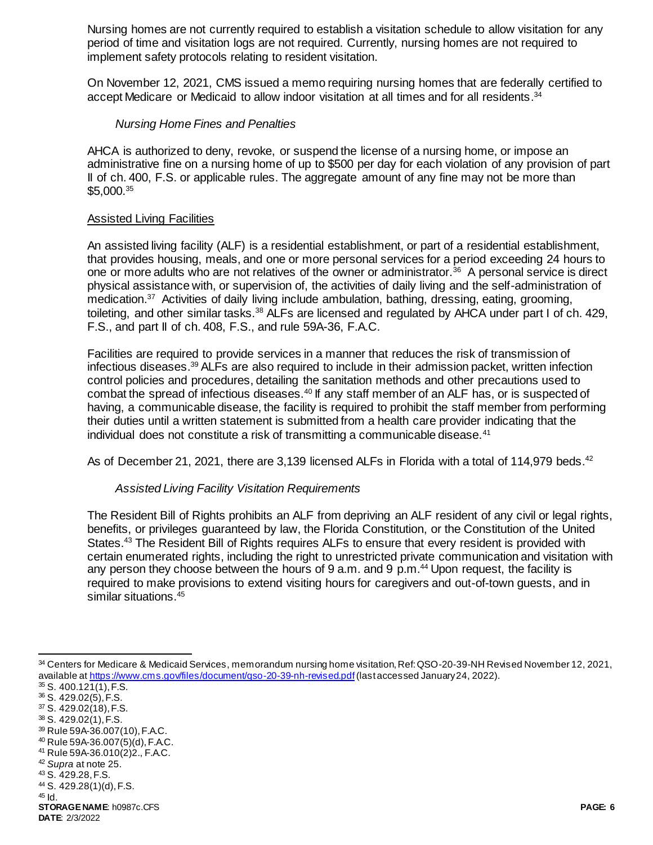Nursing homes are not currently required to establish a visitation schedule to allow visitation for any period of time and visitation logs are not required. Currently, nursing homes are not required to implement safety protocols relating to resident visitation.

On November 12, 2021, CMS issued a memo requiring nursing homes that are federally certified to accept Medicare or Medicaid to allow indoor visitation at all times and for all residents.<sup>34</sup>

# *Nursing Home Fines and Penalties*

AHCA is authorized to deny, revoke, or suspend the license of a nursing home, or impose an administrative fine on a nursing home of up to \$500 per day for each violation of any provision of part II of ch. 400, F.S. or applicable rules. The aggregate amount of any fine may not be more than \$5,000.<sup>35</sup>

# Assisted Living Facilities

An assisted living facility (ALF) is a residential establishment, or part of a residential establishment, that provides housing, meals, and one or more personal services for a period exceeding 24 hours to one or more adults who are not relatives of the owner or administrator.<sup>36</sup> A personal service is direct physical assistance with, or supervision of, the activities of daily living and the self-administration of medication.<sup>37</sup> Activities of daily living include ambulation, bathing, dressing, eating, grooming, toileting, and other similar tasks.<sup>38</sup> ALFs are licensed and regulated by AHCA under part I of ch. 429, F.S., and part II of ch. 408, F.S., and rule 59A-36, F.A.C.

Facilities are required to provide services in a manner that reduces the risk of transmission of infectious diseases. <sup>39</sup> ALFs are also required to include in their admission packet, written infection control policies and procedures, detailing the sanitation methods and other precautions used to combat the spread of infectious diseases.<sup>40</sup> If any staff member of an ALF has, or is suspected of having, a communicable disease, the facility is required to prohibit the staff member from performing their duties until a written statement is submitted from a health care provider indicating that the individual does not constitute a risk of transmitting a communicable disease.<sup>41</sup>

As of December 21, 2021, there are 3,139 licensed ALFs in Florida with a total of 114,979 beds.<sup>42</sup>

# *Assisted Living Facility Visitation Requirements*

The Resident Bill of Rights prohibits an ALF from depriving an ALF resident of any civil or legal rights, benefits, or privileges guaranteed by law, the Florida Constitution, or the Constitution of the United States.<sup>43</sup> The Resident Bill of Rights requires ALFs to ensure that every resident is provided with certain enumerated rights, including the right to unrestricted private communication and visitation with any person they choose between the hours of  $9$  a.m. and  $9$  p.m.<sup>44</sup> Upon request, the facility is required to make provisions to extend visiting hours for caregivers and out-of-town guests, and in similar situations.<sup>45</sup>

l <sup>34</sup> Centers for Medicare & Medicaid Services, memorandum nursing home visitation, Ref: QSO-20-39-NH Revised November 12, 2021, available at<https://www.cms.gov/files/document/qso-20-39-nh-revised.pdf>(last accessed January 24, 2022).

 $35$  S. 400.121(1), F.S.

<sup>36</sup> S. 429.02(5), F.S.

<sup>37</sup> S. 429.02(18), F.S.

<sup>38</sup> S. 429.02(1), F.S.

<sup>39</sup> Rule 59A-36.007(10), F.A.C.

<sup>40</sup> Rule 59A-36.007(5)(d), F.A.C. <sup>41</sup> Rule 59A-36.010(2)2., F.A.C.

<sup>42</sup> *Supra* at note 25.

<sup>43</sup> S. 429.28, F.S.

<sup>44</sup> S. 429.28(1)(d), F.S.

 $45$  Id.

**STORAGE NAME**: h0987c.CFS **PAGE: 6 DATE**: 2/3/2022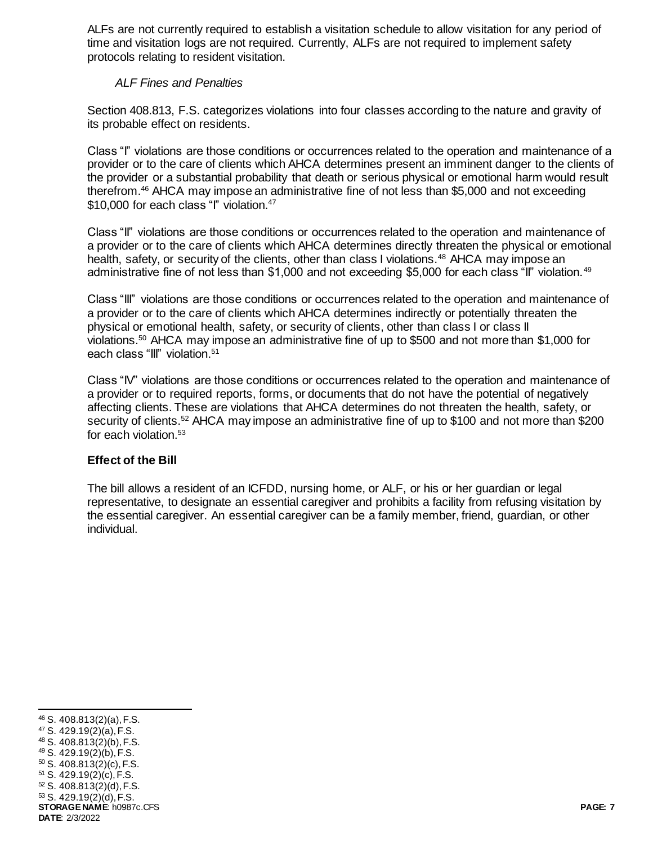ALFs are not currently required to establish a visitation schedule to allow visitation for any period of time and visitation logs are not required. Currently, ALFs are not required to implement safety protocols relating to resident visitation.

# *ALF Fines and Penalties*

Section 408.813, F.S. categorizes violations into four classes according to the nature and gravity of its probable effect on residents.

Class "I" violations are those conditions or occurrences related to the operation and maintenance of a provider or to the care of clients which AHCA determines present an imminent danger to the clients of the provider or a substantial probability that death or serious physical or emotional harm would result therefrom.<sup>46</sup> AHCA may impose an administrative fine of not less than \$5,000 and not exceeding \$10,000 for each class "I" violation.<sup>47</sup>

Class "II" violations are those conditions or occurrences related to the operation and maintenance of a provider or to the care of clients which AHCA determines directly threaten the physical or emotional health, safety, or security of the clients, other than class I violations.<sup>48</sup> AHCA may impose an administrative fine of not less than \$1,000 and not exceeding \$5,000 for each class "II" violation.<sup>49</sup>

Class "III" violations are those conditions or occurrences related to the operation and maintenance of a provider or to the care of clients which AHCA determines indirectly or potentially threaten the physical or emotional health, safety, or security of clients, other than class I or class II violations.<sup>50</sup> AHCA may impose an administrative fine of up to \$500 and not more than \$1,000 for each class "III" violation.<sup>51</sup>

Class "IV" violations are those conditions or occurrences related to the operation and maintenance of a provider or to required reports, forms, or documents that do not have the potential of negatively affecting clients. These are violations that AHCA determines do not threaten the health, safety, or security of clients.<sup>52</sup> AHCA may impose an administrative fine of up to \$100 and not more than \$200 for each violation.<sup>53</sup>

# **Effect of the Bill**

The bill allows a resident of an ICFDD, nursing home, or ALF, or his or her guardian or legal representative, to designate an essential caregiver and prohibits a facility from refusing visitation by the essential caregiver. An essential caregiver can be a family member, friend, guardian, or other individual.

l

**STORAGE NAME**: h0987c.CFS **PAGE: 7 DATE**: 2/3/2022 <sup>46</sup> S. 408.813(2)(a), F.S. <sup>47</sup> S. 429.19(2)(a), F.S. <sup>48</sup> S. 408.813(2)(b), F.S. <sup>49</sup> S. 429.19(2)(b), F.S. <sup>50</sup> S. 408.813(2)(c), F.S. <sup>51</sup> S. 429.19(2)(c), F.S. <sup>52</sup> S. 408.813(2)(d), F.S.  $53$  S. 429.19(2)(d), F.S.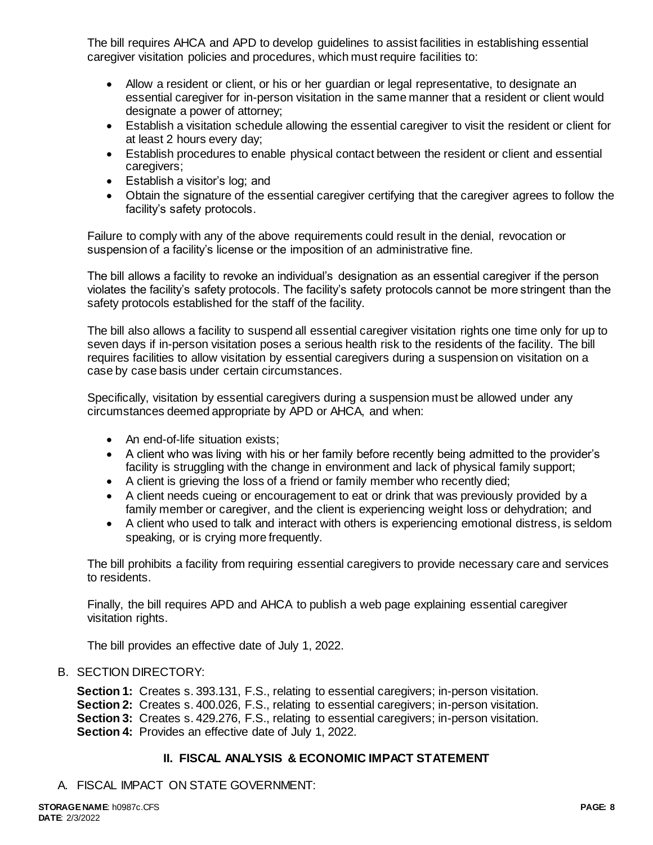The bill requires AHCA and APD to develop guidelines to assist facilities in establishing essential caregiver visitation policies and procedures, which must require facilities to:

- Allow a resident or client, or his or her guardian or legal representative, to designate an essential caregiver for in-person visitation in the same manner that a resident or client would designate a power of attorney;
- Establish a visitation schedule allowing the essential caregiver to visit the resident or client for at least 2 hours every day;
- Establish procedures to enable physical contact between the resident or client and essential caregivers;
- Establish a visitor's log; and
- Obtain the signature of the essential caregiver certifying that the caregiver agrees to follow the facility's safety protocols.

Failure to comply with any of the above requirements could result in the denial, revocation or suspension of a facility's license or the imposition of an administrative fine.

The bill allows a facility to revoke an individual's designation as an essential caregiver if the person violates the facility's safety protocols. The facility's safety protocols cannot be more stringent than the safety protocols established for the staff of the facility.

The bill also allows a facility to suspend all essential caregiver visitation rights one time only for up to seven days if in-person visitation poses a serious health risk to the residents of the facility. The bill requires facilities to allow visitation by essential caregivers during a suspension on visitation on a case by case basis under certain circumstances.

Specifically, visitation by essential caregivers during a suspension must be allowed under any circumstances deemed appropriate by APD or AHCA, and when:

- An end-of-life situation exists;
- A client who was living with his or her family before recently being admitted to the provider's facility is struggling with the change in environment and lack of physical family support;
- A client is grieving the loss of a friend or family member who recently died;
- A client needs cueing or encouragement to eat or drink that was previously provided by a family member or caregiver, and the client is experiencing weight loss or dehydration; and
- A client who used to talk and interact with others is experiencing emotional distress, is seldom speaking, or is crying more frequently.

The bill prohibits a facility from requiring essential caregivers to provide necessary care and services to residents.

Finally, the bill requires APD and AHCA to publish a web page explaining essential caregiver visitation rights.

The bill provides an effective date of July 1, 2022.

# B. SECTION DIRECTORY:

**Section 1:** Creates s. 393.131, F.S., relating to essential caregivers; in-person visitation. **Section 2:** Creates s. 400.026, F.S., relating to essential caregivers; in-person visitation. **Section 3:** Creates s. 429.276, F.S., relating to essential caregivers; in-person visitation. **Section 4:** Provides an effective date of July 1, 2022.

# **II. FISCAL ANALYSIS & ECONOMIC IMPACT STATEMENT**

A. FISCAL IMPACT ON STATE GOVERNMENT: